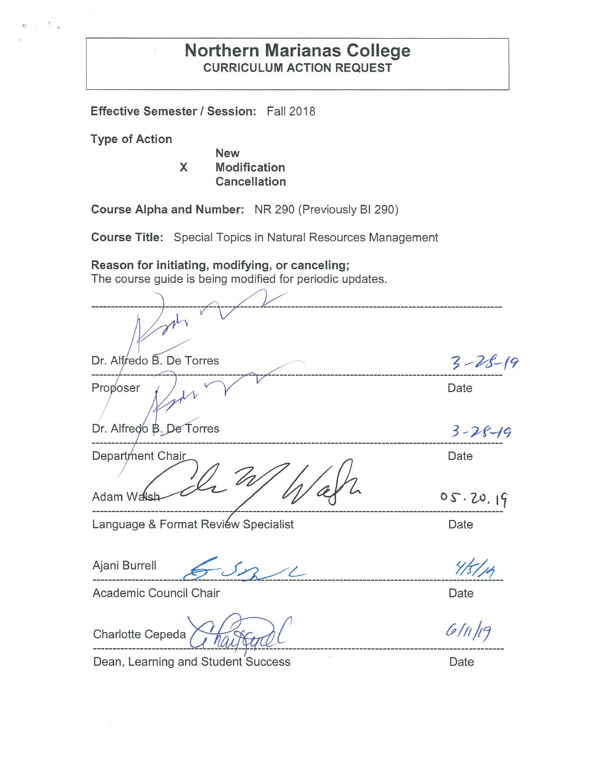## **Northern Marianas College CURRICULUM ACTION REQUEST**

**Effective Semester I Session:** Fall 2018

**Type of Action** 

g)

 $\leq$ 

**New X Modification Cancellation** 

**Course Alpha and Number:** NR 290 (Previously Bl 290)

**Course Title:** Special Topics in Natural Resources Management

---------~ ~----------------------------------------------------

**Reason for initiating, modifying, or canceling;** 

The course guide is being modified for periodic updates.

Dr. Al edo B. De Torres - <sup>~</sup>*-Pf--(9* ---------------~ ---------'~~------~~------------------------------------------------------ Proposer ( ) N V V Date Dr. Alfredo B. De Torres Department Chair

Language & Format Review Specialist **Example 2** Date

Adam Wals

-----------------------~--~~ ·----------------------------------------------------

Academic Council Chair **Date** 

Charlotte Cepeda *Charleng C* 6/11/19

Dean, Learning and Student Success Date

 $3 - 28 - 19$ 

Date

 $05.20.19$ 

Ajani Burrell  $65221$  4/5/14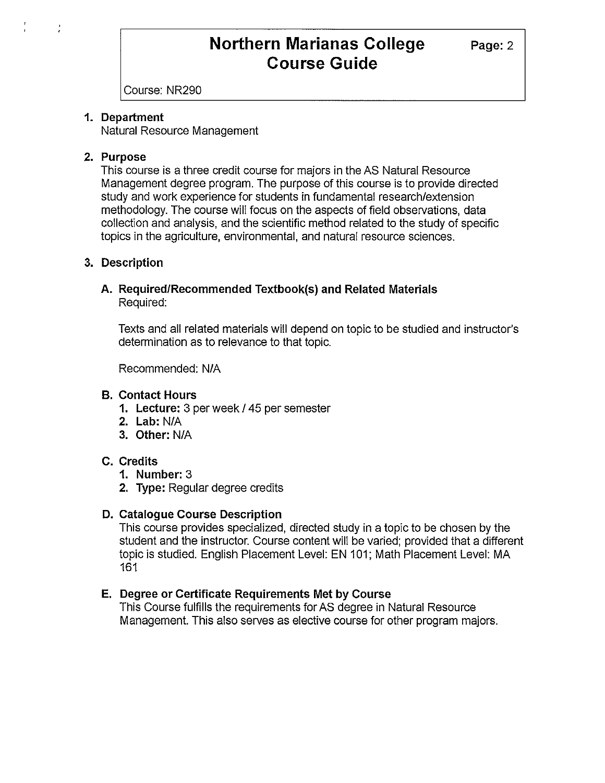Course: NR290

#### **1. Department**

Natural Resource Management

## **2. Purpose**

This course is a three credit course for majors in the AS Natural Resource Management degree program. The purpose of this course is to provide directed study and work experience for students in fundamental research/extension methodology. The course will focus on the aspects of field observations, data collection and analysis, and the scientific method related to the study of specific topics in the agriculture, environmental, and natural resource sciences.

## **3. Description**

## **A. Required/Recommended Textbook(s) and Related Materials**  Required:

Texts and all related materials will depend on topic to be studied and instructor's determination as to relevance to that topic.

Recommended: NIA

## **B. Contact Hours**

- **1. Lecture:** 3 per week/ 45 per semester
- **2. Lab:** NIA
- **3. Other:** N/A

## **C. Credits**

- **1. Number:** 3
- **2. Type:** Regular degree credits

## **D. Catalogue Course Description**

This course provides specialized, directed study in a topic to be chosen by the student and the instructor. Course content will be varied; provided that a different topic is studied. English Placement Level: EN 101; Math Placement Level: MA 161

## **E. Degree or Certificate Requirements Met by Course**

This Course fulfills the requirements for AS degree in Natural Resource Management. This also serves as elective course for other program majors.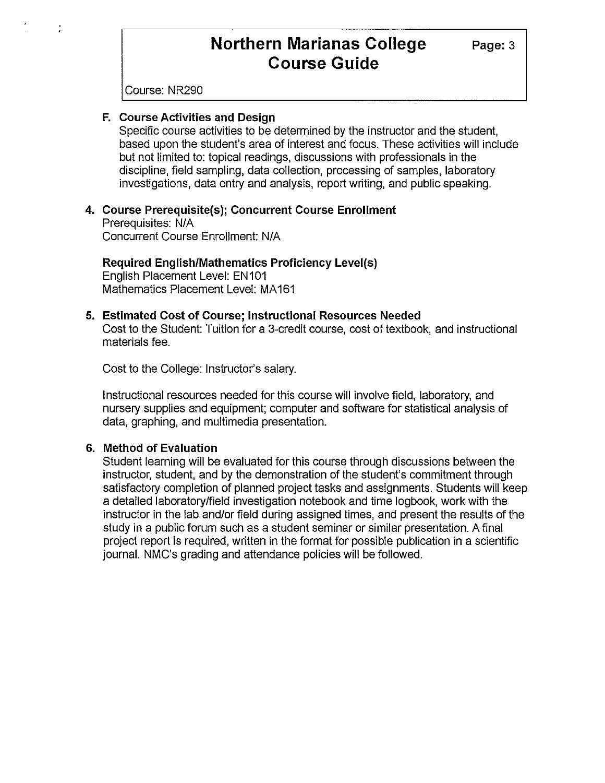Course: NR290

#### **F. Course Activities and Design**

Specific course activities to be determined by the instructor and the student, based upon the student's area of interest and focus. These activities will include but not limited to: topical readings, discussions with professionals in the discipline, field sampling, data collection, processing of samples, laboratory investigations, data entry and analysis, report writing, and public speaking.

#### **4. Course Prerequisite(s); Concurrent Course Enrollment**  Prerequisites: N/A

Concurrent Course Enrollment: N/A

**Required English/Mathematics Proficiency Level(s)**  English Placement Level: EN101 Mathematics Placement Level: MA161

### **5. Estimated Cost of Course; Instructional Resources Needed**

Cost to the Student: Tuition for a 3-credit course, cost of textbook, and instructional materials fee.

Cost to the College: Instructor's salary.

Instructional resources needed for this course will involve field, laboratory, and nursery supplies and equipment; computer and software for statistical analysis of data, graphing, and multimedia presentation.

#### **6. Method of Evaluation**

Student learning will be evaluated for this course through discussions between the instructor, student, and by the demonstration of the student's commitment through satisfactory completion of planned project tasks and assignments. Students will keep a detailed laboratory/field investigation notebook and time logbook, work with the instructor in the lab and/or field during assigned times, and present the results of the study in a public forum such as a student seminar or similar presentation. A final project report is required, written in the format for possible publication in a scientific journal. NMC's grading and attendance policies will be followed.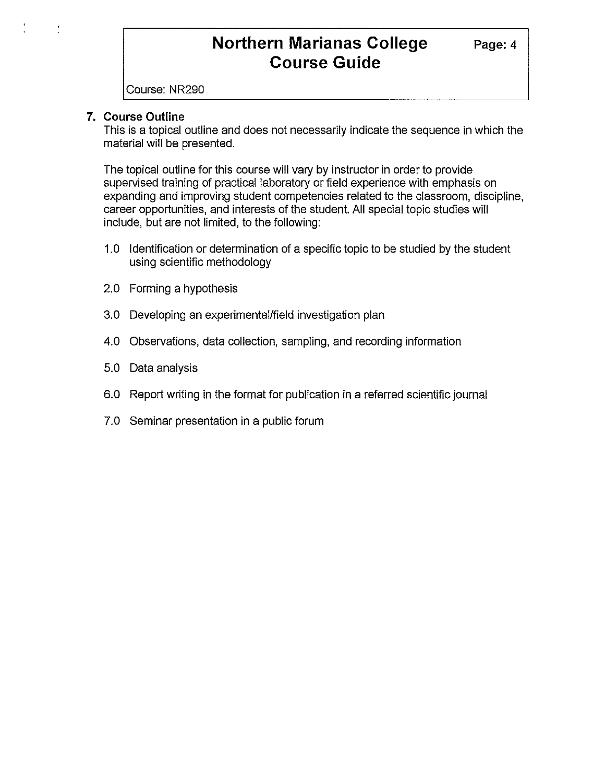Course: NR290

## **7. Course Outline**

This is a topical outline and does not necessarily indicate the sequence in which the material will be presented.

The topical outline for this course will vary by instructor in order to provide supervised training of practical laboratory or field experience with emphasis on expanding and improving student competencies related to the classroom, discipline, career opportunities, and interests of the student. All special topic studies will include, but are not limited, to the following:

- 1.0 Identification or determination of a specific topic to be studied by the student using scientific methodology
- 2.0 Forming a hypothesis
- 3.0 Developing an experimental/field investigation plan
- 4.0 Observations, data collection, sampling, and recording information
- 5.0 Data analysis
- 6.0 Report writing in the format for publication in a referred scientific journal
- 7.0 Seminar presentation in a public forum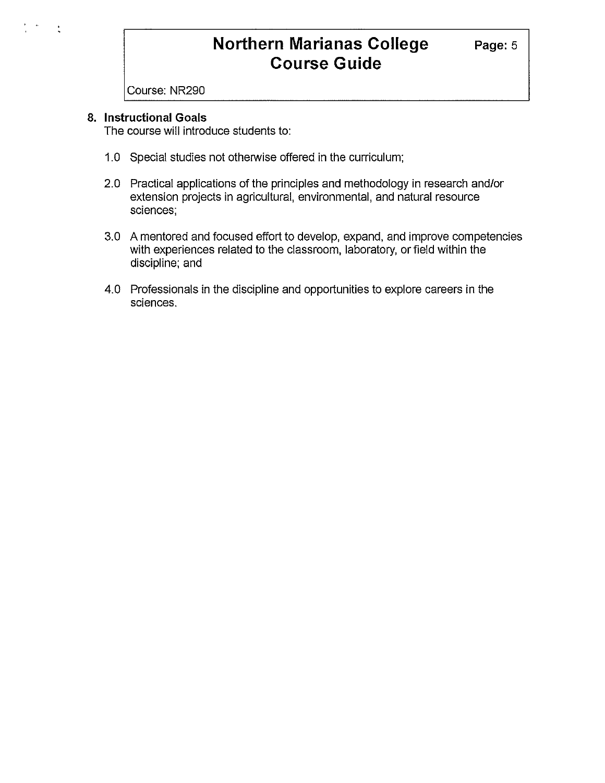Course: NR290

## **8. Instructional Goals**

The course will introduce students to:

- 1.0 Special studies not otherwise offered in the curriculum;
- 2.0 Practical applications of the principles and methodology in research and/or extension projects in agricultural, environmental, and natural resource sciences;
- 3.0 A mentored and focused effort to develop, expand, and improve competencies with experiences related to the classroom, laboratory, or field within the discipline; and
- 4.0 Professionals in the discipline and opportunities to explore careers in the sciences.